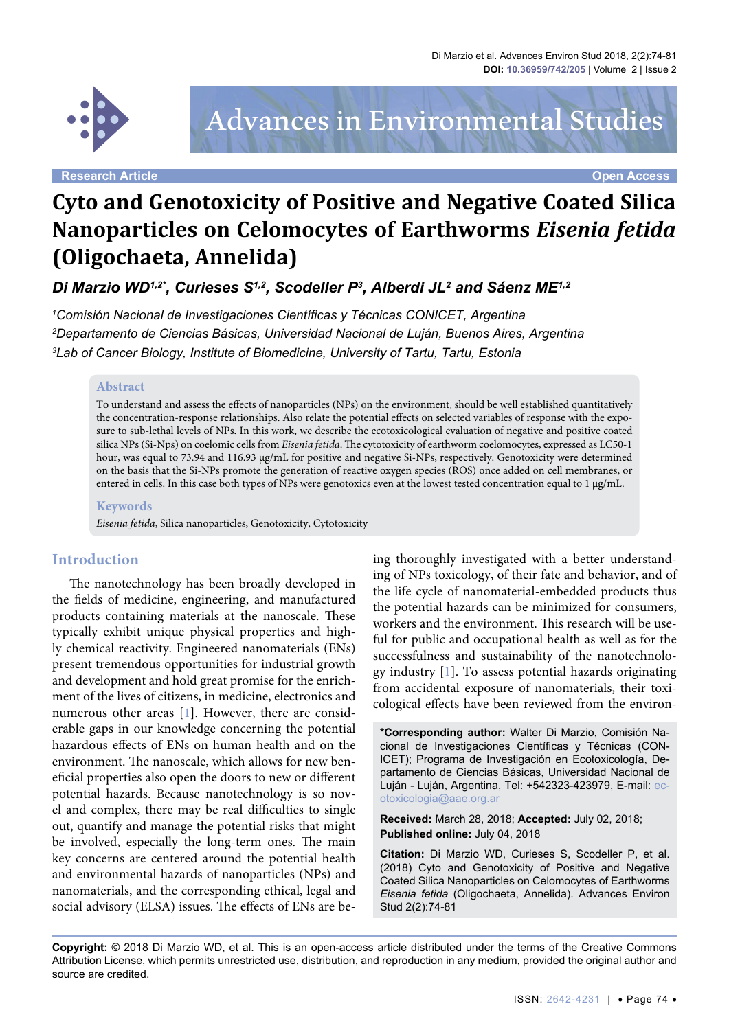

Advances in Environmental Studies

**Research Article Open Access**

# **Cyto and Genotoxicity of Positive and Negative Coated Silica Nanoparticles on Celomocytes of Earthworms** *Eisenia fetida* **(Oligochaeta, Annelida)**

*Di Marzio WD1,2\*, Curieses S1,2, Scodeller P3 , Alberdi JL2 and Sáenz ME1,2*

*1 Comisión Nacional de Investigaciones Científicas y Técnicas CONICET, Argentina 2 Departamento de Ciencias Básicas, Universidad Nacional de Luján, Buenos Aires, Argentina 3 Lab of Cancer Biology, Institute of Biomedicine, University of Tartu, Tartu, Estonia*

#### **Abstract**

To understand and assess the effects of nanoparticles (NPs) on the environment, should be well established quantitatively the concentration-response relationships. Also relate the potential effects on selected variables of response with the exposure to sub-lethal levels of NPs. In this work, we describe the ecotoxicological evaluation of negative and positive coated silica NPs (Si-Nps) on coelomic cells from *Eisenia fetida*. The cytotoxicity of earthworm coelomocytes, expressed as LC50-1 hour, was equal to 73.94 and 116.93 µg/mL for positive and negative Si-NPs, respectively. Genotoxicity were determined on the basis that the Si-NPs promote the generation of reactive oxygen species (ROS) once added on cell membranes, or entered in cells. In this case both types of NPs were genotoxics even at the lowest tested concentration equal to  $1 \mu g/mL$ .

#### **Keywords**

*Eisenia fetida*, Silica nanoparticles, Genotoxicity, Cytotoxicity

## **Introduction**

The nanotechnology has been broadly developed in the fields of medicine, engineering, and manufactured products containing materials at the nanoscale. These typically exhibit unique physical properties and highly chemical reactivity. Engineered nanomaterials (ENs) present tremendous opportunities for industrial growth and development and hold great promise for the enrichment of the lives of citizens, in medicine, electronics and numerous other areas [\[1](#page-4-0)]. However, there are considerable gaps in our knowledge concerning the potential hazardous effects of ENs on human health and on the environment. The nanoscale, which allows for new beneficial properties also open the doors to new or different potential hazards. Because nanotechnology is so novel and complex, there may be real difficulties to single out, quantify and manage the potential risks that might be involved, especially the long-term ones. The main key concerns are centered around the potential health and environmental hazards of nanoparticles (NPs) and nanomaterials, and the corresponding ethical, legal and social advisory (ELSA) issues. The effects of ENs are being thoroughly investigated with a better understanding of NPs toxicology, of their fate and behavior, and of the life cycle of nanomaterial-embedded products thus the potential hazards can be minimized for consumers, workers and the environment. This research will be useful for public and occupational health as well as for the successfulness and sustainability of the nanotechnology industry [[1](#page-4-0)]. To assess potential hazards originating from accidental exposure of nanomaterials, their toxicological effects have been reviewed from the environ-

**\*Corresponding author:** Walter Di Marzio, Comisión Nacional de Investigaciones Científicas y Técnicas (CON-ICET); Programa de Investigación en Ecotoxicología, Departamento de Ciencias Básicas, Universidad Nacional de Luján - Luján, Argentina, Tel: +542323-423979, E-mail: [ec](mailto:ecotoxicologia@aae.org.ar)[otoxicologia@aae.org.ar](mailto:ecotoxicologia@aae.org.ar)

**Received:** March 28, 2018; **Accepted:** July 02, 2018; **Published online:** July 04, 2018

**Citation:** Di Marzio WD, Curieses S, Scodeller P, et al. (2018) Cyto and Genotoxicity of Positive and Negative Coated Silica Nanoparticles on Celomocytes of Earthworms *Eisenia fetida* (Oligochaeta, Annelida). Advances Environ Stud 2(2):74-81

**Copyright:** © 2018 Di Marzio WD, et al. This is an open-access article distributed under the terms of the Creative Commons Attribution License, which permits unrestricted use, distribution, and reproduction in any medium, provided the original author and source are credited.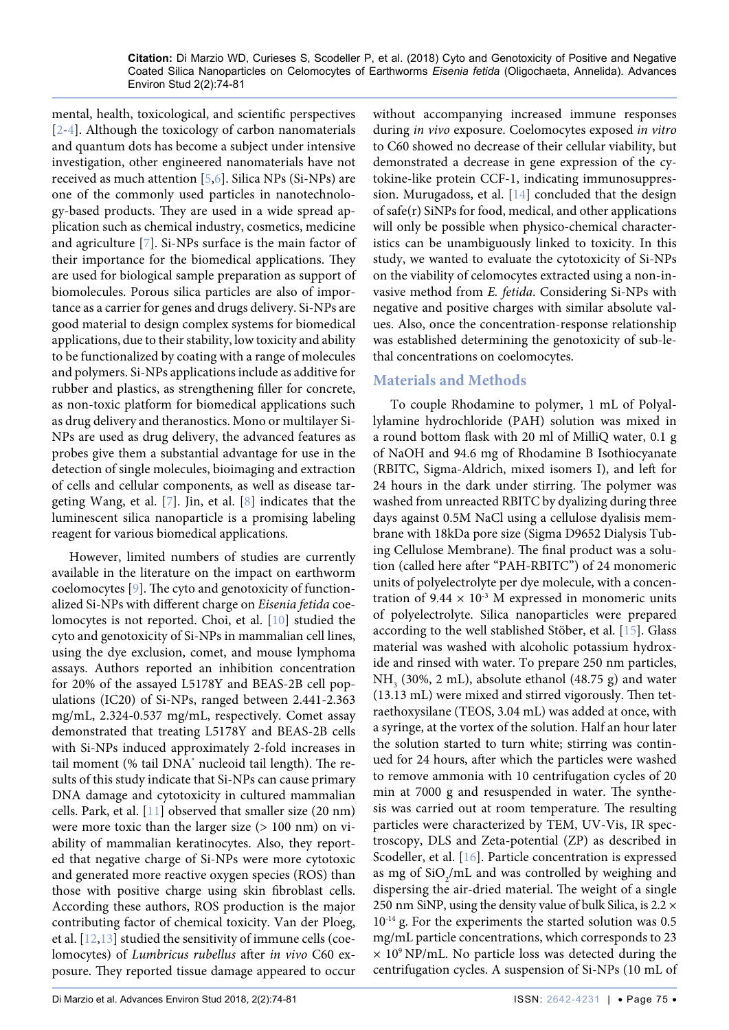mental, health, toxicological, and scientific perspectives [\[2](#page-4-4)[-4\]](#page-4-5). Although the toxicology of carbon nanomaterials and quantum dots has become a subject under intensive investigation, other engineered nanomaterials have not received as much attention [\[5,](#page-4-6)[6](#page-4-7)]. Silica NPs (Si-NPs) are one of the commonly used particles in nanotechnology-based products. They are used in a wide spread application such as chemical industry, cosmetics, medicine and agriculture [\[7](#page-4-8)]. Si-NPs surface is the main factor of their importance for the biomedical applications. They are used for biological sample preparation as support of biomolecules. Porous silica particles are also of importance as a carrier for genes and drugs delivery. Si-NPs are good material to design complex systems for biomedical applications, due to their stability, low toxicity and ability to be functionalized by coating with a range of molecules and polymers. Si-NPs applications include as additive for rubber and plastics, as strengthening filler for concrete, as non-toxic platform for biomedical applications such as drug delivery and theranostics. Mono or multilayer Si-NPs are used as drug delivery, the advanced features as probes give them a substantial advantage for use in the detection of single molecules, bioimaging and extraction of cells and cellular components, as well as disease targeting Wang, et al. [[7](#page-4-8)]. Jin, et al. [\[8\]](#page-4-9) indicates that the luminescent silica nanoparticle is a promising labeling reagent for various biomedical applications.

However, limited numbers of studies are currently available in the literature on the impact on earthworm coelomocytes [\[9](#page-4-10)]. The cyto and genotoxicity of functionalized Si-NPs with different charge on *Eisenia fetida* coelomocytes is not reported. Choi, et al. [\[10\]](#page-4-11) studied the cyto and genotoxicity of Si-NPs in mammalian cell lines, using the dye exclusion, comet, and mouse lymphoma assays. Authors reported an inhibition concentration for 20% of the assayed L5178Y and BEAS-2B cell populations (IC20) of Si-NPs, ranged between 2.441-2.363 mg/mL, 2.324-0.537 mg/mL, respectively. Comet assay demonstrated that treating L5178Y and BEAS-2B cells with Si-NPs induced approximately 2-fold increases in tail moment (% tail DNA\* nucleoid tail length). The results of this study indicate that Si-NPs can cause primary DNA damage and cytotoxicity in cultured mammalian cells. Park, et al. [\[11\]](#page-4-12) observed that smaller size (20 nm) were more toxic than the larger size (> 100 nm) on viability of mammalian keratinocytes. Also, they reported that negative charge of Si-NPs were more cytotoxic and generated more reactive oxygen species (ROS) than those with positive charge using skin fibroblast cells. According these authors, ROS production is the major contributing factor of chemical toxicity. Van der Ploeg, et al. [[12](#page-4-13),[13](#page-4-14)] studied the sensitivity of immune cells (coelomocytes) of *Lumbricus rubellus* after *in vivo* C60 exposure. They reported tissue damage appeared to occur

without accompanying increased immune responses during *in vivo* exposure. Coelomocytes exposed *in vitro* to C60 showed no decrease of their cellular viability, but demonstrated a decrease in gene expression of the cytokine-like protein CCF-1, indicating immunosuppression. Murugadoss, et al. [[14\]](#page-4-1) concluded that the design of safe(r) SiNPs for food, medical, and other applications will only be possible when physico-chemical characteristics can be unambiguously linked to toxicity. In this study, we wanted to evaluate the cytotoxicity of Si-NPs on the viability of celomocytes extracted using a non-invasive method from *E. fetida*. Considering Si-NPs with negative and positive charges with similar absolute values. Also, once the concentration-response relationship was established determining the genotoxicity of sub-lethal concentrations on coelomocytes.

# **Materials and Methods**

To couple Rhodamine to polymer, 1 mL of Polyallylamine hydrochloride (PAH) solution was mixed in a round bottom flask with 20 ml of MilliQ water, 0.1 g of NaOH and 94.6 mg of Rhodamine B Isothiocyanate (RBITC, Sigma-Aldrich, mixed isomers I), and left for 24 hours in the dark under stirring. The polymer was washed from unreacted RBITC by dyalizing during three days against 0.5M NaCl using a cellulose dyalisis membrane with 18kDa pore size (Sigma D9652 Dialysis Tubing Cellulose Membrane). The final product was a solution (called here after "PAH-RBITC") of 24 monomeric units of polyelectrolyte per dye molecule, with a concentration of  $9.44 \times 10^{-3}$  M expressed in monomeric units of polyelectrolyte. Silica nanoparticles were prepared according to the well stablished Stöber, et al. [\[15\]](#page-4-2). Glass material was washed with alcoholic potassium hydroxide and rinsed with water. To prepare 250 nm particles,  $NH<sub>3</sub>$  (30%, 2 mL), absolute ethanol (48.75 g) and water (13.13 mL) were mixed and stirred vigorously. Then tetraethoxysilane (TEOS, 3.04 mL) was added at once, with a syringe, at the vortex of the solution. Half an hour later the solution started to turn white; stirring was continued for 24 hours, after which the particles were washed to remove ammonia with 10 centrifugation cycles of 20 min at 7000 g and resuspended in water. The synthesis was carried out at room temperature. The resulting particles were characterized by TEM, UV-Vis, IR spectroscopy, DLS and Zeta-potential (ZP) as described in Scodeller, et al. [[16](#page-4-3)]. Particle concentration is expressed as mg of  $SiO_2/mL$  and was controlled by weighing and dispersing the air-dried material. The weight of a single 250 nm SiNP, using the density value of bulk Silica, is  $2.2 \times$ 10<sup>-14</sup> g. For the experiments the started solution was 0.5 mg/mL particle concentrations, which corresponds to 23  $\times$  10<sup>9</sup> NP/mL. No particle loss was detected during the centrifugation cycles. A suspension of Si-NPs (10 mL of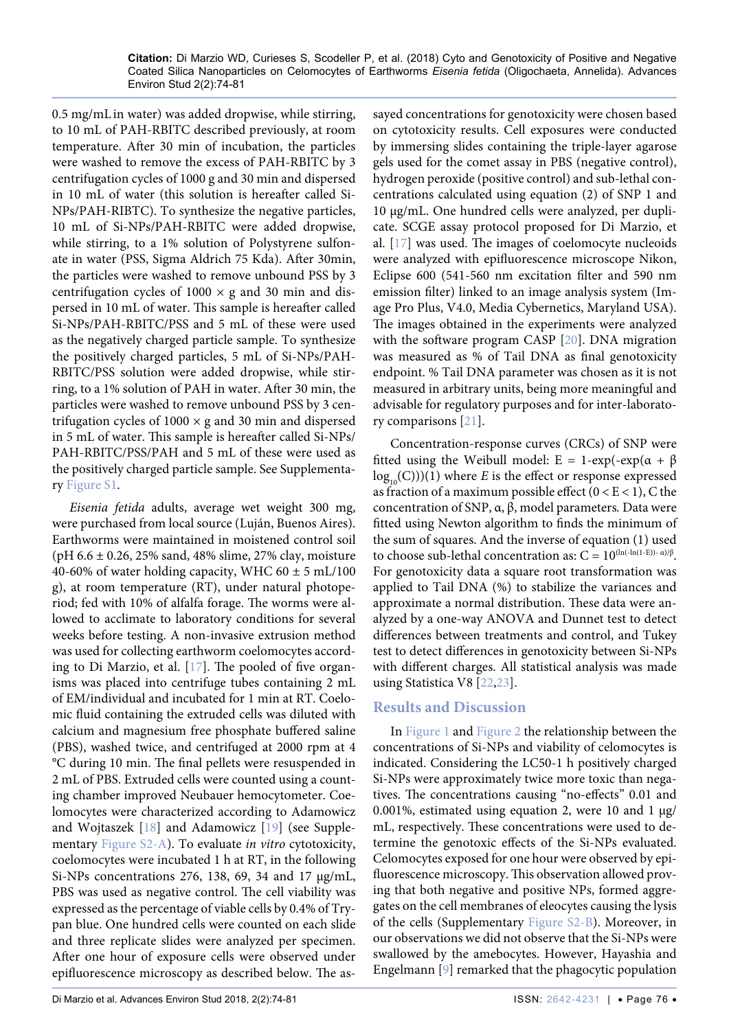0.5 mg/mL in water) was added dropwise, while stirring, to 10 mL of PAH-RBITC described previously, at room temperature. After 30 min of incubation, the particles were washed to remove the excess of PAH-RBITC by 3 centrifugation cycles of 1000 g and 30 min and dispersed in 10 mL of water (this solution is hereafter called Si-NPs/PAH-RIBTC). To synthesize the negative particles, 10 mL of Si-NPs/PAH-RBITC were added dropwise, while stirring, to a 1% solution of Polystyrene sulfonate in water (PSS, Sigma Aldrich 75 Kda). After 30min, the particles were washed to remove unbound PSS by 3 centrifugation cycles of  $1000 \times g$  and 30 min and dispersed in 10 mL of water. This sample is hereafter called Si-NPs/PAH-RBITC/PSS and 5 mL of these were used as the negatively charged particle sample. To synthesize the positively charged particles, 5 mL of Si-NPs/PAH-RBITC/PSS solution were added dropwise, while stirring, to a 1% solution of PAH in water. After 30 min, the particles were washed to remove unbound PSS by 3 centrifugation cycles of  $1000 \times g$  and 30 min and dispersed in 5 mL of water. This sample is hereafter called Si-NPs/ PAH-RBITC/PSS/PAH and 5 mL of these were used as the positively charged particle sample. See Supplementary [Figure S1.](#page-6-0)

*Eisenia fetida* adults, average wet weight 300 mg, were purchased from local source (Luján, Buenos Aires). Earthworms were maintained in moistened control soil (pH  $6.6 \pm 0.26$ , 25% sand, 48% slime, 27% clay, moisture 40-60% of water holding capacity, WHC 60  $\pm$  5 mL/100 g), at room temperature (RT), under natural photoperiod; fed with 10% of alfalfa forage. The worms were allowed to acclimate to laboratory conditions for several weeks before testing. A non-invasive extrusion method was used for collecting earthworm coelomocytes according to Di Marzio, et al. [[17](#page-4-15)]. The pooled of five organisms was placed into centrifuge tubes containing 2 mL of EM/individual and incubated for 1 min at RT. Coelomic fluid containing the extruded cells was diluted with calcium and magnesium free phosphate buffered saline (PBS), washed twice, and centrifuged at 2000 rpm at 4 °C during 10 min. The final pellets were resuspended in 2 mL of PBS. Extruded cells were counted using a counting chamber improved Neubauer hemocytometer. Coelomocytes were characterized according to Adamowicz and Wojtaszek [\[18\]](#page-4-20) and Adamowicz [[19](#page-4-21)] (see Supplementary [Figure S2-A](#page-6-1)). To evaluate *in vitro* cytotoxicity, coelomocytes were incubated 1 h at RT, in the following Si-NPs concentrations 276, 138, 69, 34 and 17 µg/mL, PBS was used as negative control. The cell viability was expressed as the percentage of viable cells by 0.4% of Trypan blue. One hundred cells were counted on each slide and three replicate slides were analyzed per specimen. After one hour of exposure cells were observed under epifluorescence microscopy as described below. The assayed concentrations for genotoxicity were chosen based on cytotoxicity results. Cell exposures were conducted by immersing slides containing the triple-layer agarose gels used for the comet assay in PBS (negative control), hydrogen peroxide (positive control) and sub-lethal concentrations calculated using equation (2) of SNP 1 and 10 µg/mL. One hundred cells were analyzed, per duplicate. SCGE assay protocol proposed for Di Marzio, et al. [[17\]](#page-4-15) was used. The images of coelomocyte nucleoids were analyzed with epifluorescence microscope Nikon, Eclipse 600 (541-560 nm excitation filter and 590 nm emission filter) linked to an image analysis system (Image Pro Plus, V4.0, Media Cybernetics, Maryland USA). The images obtained in the experiments were analyzed with the software program CASP [\[20\]](#page-4-16). DNA migration was measured as % of Tail DNA as final genotoxicity endpoint. % Tail DNA parameter was chosen as it is not measured in arbitrary units, being more meaningful and advisable for regulatory purposes and for inter-laboratory comparisons [\[21\]](#page-4-17).

Concentration-response curves (CRCs) of SNP were fitted using the Weibull model: E = 1-exp(-exp( $\alpha + \beta$  $log_{10}(C)$ )(1) where *E* is the effect or response expressed as fraction of a maximum possible effect ( $0 < E < 1$ ), C the concentration of SNP, α, β, model parameters*.* Data were fitted using Newton algorithm to finds the minimum of the sum of squares. And the inverse of equation (1) used to choose sub-lethal concentration as:  $C = 10^{\left(\ln(-\ln(1-E)) - \alpha\right)/\beta}$ . For genotoxicity data a square root transformation was applied to Tail DNA (%) to stabilize the variances and approximate a normal distribution. These data were analyzed by a one-way ANOVA and Dunnet test to detect differences between treatments and control, and Tukey test to detect differences in genotoxicity between Si-NPs with different charges. All statistical analysis was made using Statistica V8 [[22](#page-4-18),[23](#page-4-19)].

# **Results and Discussion**

In [Figure 1](#page-3-0) and [Figure 2](#page-3-1) the relationship between the concentrations of Si-NPs and viability of celomocytes is indicated. Considering the LC50-1 h positively charged Si-NPs were approximately twice more toxic than negatives. The concentrations causing "no-effects" 0.01 and 0.001%, estimated using equation 2, were 10 and 1  $\mu$ g/ mL, respectively. These concentrations were used to determine the genotoxic effects of the Si-NPs evaluated. Celomocytes exposed for one hour were observed by epifluorescence microscopy. This observation allowed proving that both negative and positive NPs, formed aggregates on the cell membranes of eleocytes causing the lysis of the cells (Supplementary [Figure S2-B](#page-7-0)). Moreover, in our observations we did not observe that the Si-NPs were swallowed by the amebocytes. However, Hayashia and Engelmann [[9\]](#page-4-10) remarked that the phagocytic population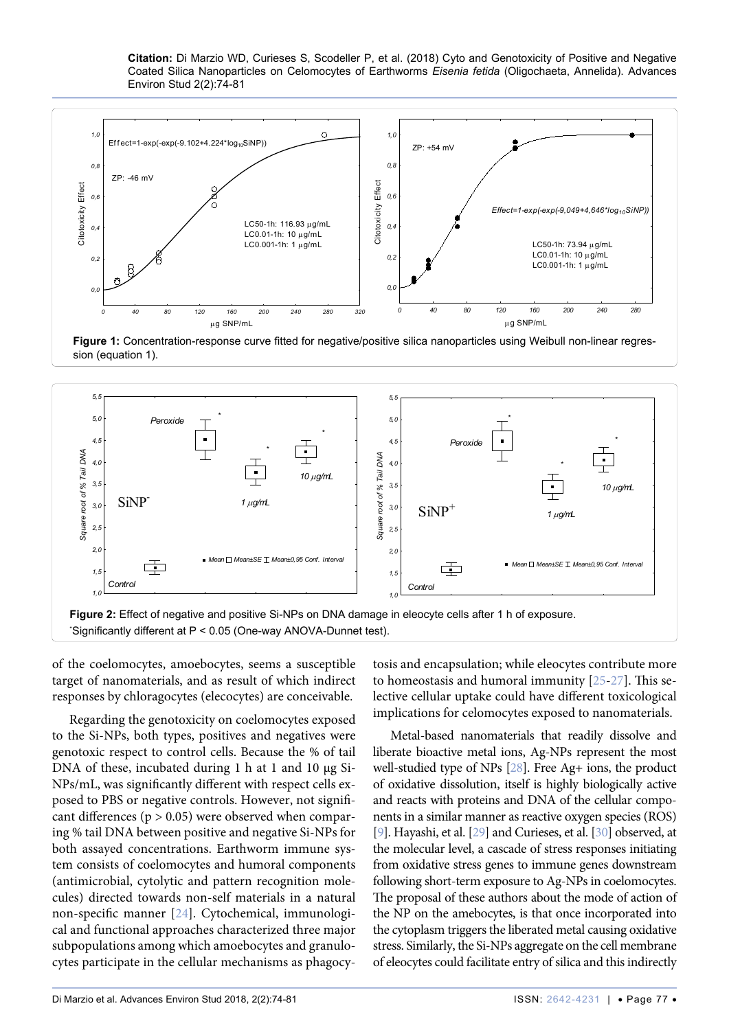**Citation:** Di Marzio WD, Curieses S, Scodeller P, et al. (2018) Cyto and Genotoxicity of Positive and Negative Coated Silica Nanoparticles on Celomocytes of Earthworms *Eisenia fetida* (Oligochaeta, Annelida). Advances Environ Stud 2(2):74-81

<span id="page-3-0"></span>

**Figure 1:** Concentration-response curve fitted for negative/positive silica nanoparticles using Weibull non-linear regression (equation 1).

<span id="page-3-1"></span>

of the coelomocytes, amoebocytes, seems a susceptible target of nanomaterials, and as result of which indirect responses by chloragocytes (elecocytes) are conceivable.

Regarding the genotoxicity on coelomocytes exposed to the Si-NPs, both types, positives and negatives were genotoxic respect to control cells. Because the % of tail DNA of these, incubated during 1 h at 1 and 10 µg Si-NPs/mL, was significantly different with respect cells exposed to PBS or negative controls. However, not significant differences ( $p > 0.05$ ) were observed when comparing % tail DNA between positive and negative Si-NPs for both assayed concentrations. Earthworm immune system consists of coelomocytes and humoral components (antimicrobial, cytolytic and pattern recognition molecules) directed towards non-self materials in a natural non-specific manner [\[24\]](#page-4-23). Cytochemical, immunological and functional approaches characterized three major subpopulations among which amoebocytes and granulocytes participate in the cellular mechanisms as phagocytosis and encapsulation; while eleocytes contribute more to homeostasis and humoral immunity [\[25-](#page-4-22)[27](#page-5-0)]. This selective cellular uptake could have different toxicological implications for celomocytes exposed to nanomaterials.

Metal-based nanomaterials that readily dissolve and liberate bioactive metal ions, Ag-NPs represent the most well-studied type of NPs [\[28\]](#page-5-1). Free Ag+ ions, the product of oxidative dissolution, itself is highly biologically active and reacts with proteins and DNA of the cellular components in a similar manner as reactive oxygen species (ROS) [\[9](#page-4-10)]. Hayashi, et al. [\[29](#page-5-2)] and Curieses, et al. [\[30](#page-5-3)] observed, at the molecular level, a cascade of stress responses initiating from oxidative stress genes to immune genes downstream following short-term exposure to Ag-NPs in coelomocytes. The proposal of these authors about the mode of action of the NP on the amebocytes, is that once incorporated into the cytoplasm triggers the liberated metal causing oxidative stress. Similarly, the Si-NPs aggregate on the cell membrane of eleocytes could facilitate entry of silica and this indirectly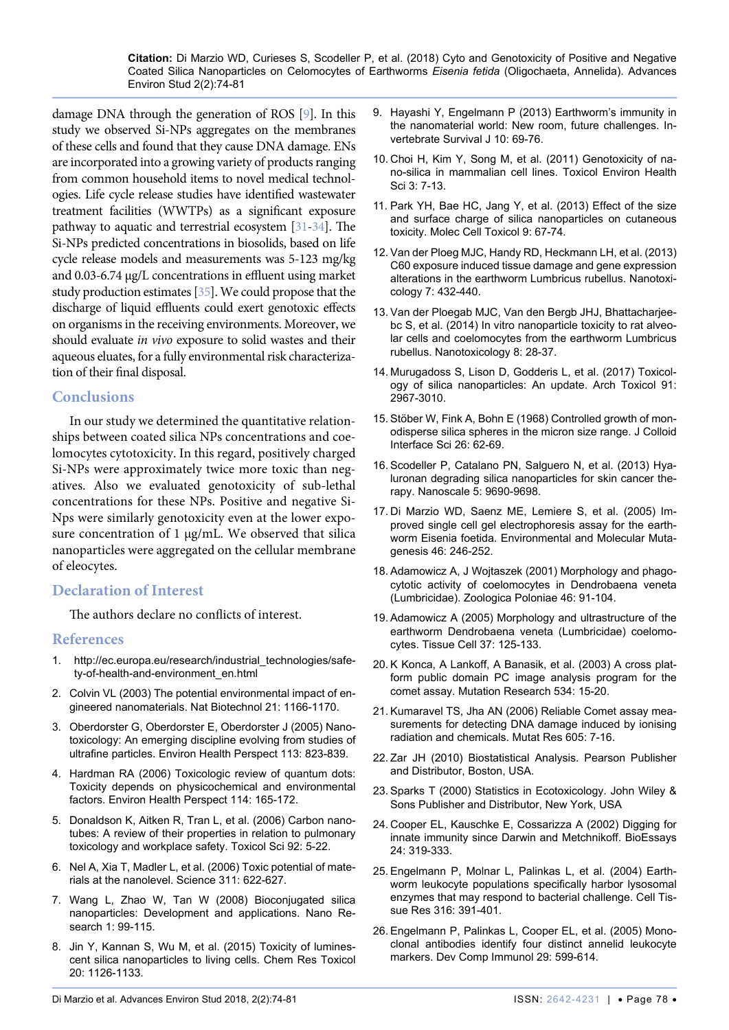damage DNA through the generation of ROS [[9\]](#page-4-10). In this study we observed Si-NPs aggregates on the membranes of these cells and found that they cause DNA damage. ENs are incorporated into a growing variety of products ranging from common household items to novel medical technologies. Life cycle release studies have identified wastewater treatment facilities (WWTPs) as a significant exposure pathway to aquatic and terrestrial ecosystem [\[31](#page-5-4)[-34](#page-5-5)]. The Si-NPs predicted concentrations in biosolids, based on life cycle release models and measurements was 5-123 mg/kg and 0.03-6.74 µg/L concentrations in effluent using market study production estimates [[35\]](#page-5-6). We could propose that the discharge of liquid effluents could exert genotoxic effects on organisms in the receiving environments. Moreover, we should evaluate *in vivo* exposure to solid wastes and their aqueous eluates, for a fully environmental risk characterization of their final disposal.

## **Conclusions**

In our study we determined the quantitative relationships between coated silica NPs concentrations and coelomocytes cytotoxicity. In this regard, positively charged Si-NPs were approximately twice more toxic than negatives. Also we evaluated genotoxicity of sub-lethal concentrations for these NPs. Positive and negative Si-Nps were similarly genotoxicity even at the lower exposure concentration of 1 µg/mL. We observed that silica nanoparticles were aggregated on the cellular membrane of eleocytes.

# **Declaration of Interest**

The authors declare no conflicts of interest.

### **References**

- <span id="page-4-0"></span>1. [http://ec.europa.eu/research/industrial\\_technologies/safe](http://ec.europa.eu/research/industrial_technologies/safety-of-health-and-environment_en.html)[ty-of-health-and-environment\\_en.html](http://ec.europa.eu/research/industrial_technologies/safety-of-health-and-environment_en.html)
- <span id="page-4-4"></span>2. [Colvin VL \(2003\) The potential environmental impact of en](https://www.ncbi.nlm.nih.gov/pubmed/14520401)[gineered nanomaterials. Nat Biotechnol 21: 1166-1170.](https://www.ncbi.nlm.nih.gov/pubmed/14520401)
- 3. [Oberdorster G, Oberdorster E, Oberdorster J \(2005\) Nano](https://www.ncbi.nlm.nih.gov/pubmed/16002369)[toxicology: An emerging discipline evolving from studies of](https://www.ncbi.nlm.nih.gov/pubmed/16002369)  [ultrafine particles. Environ Health Perspect 113: 823-839.](https://www.ncbi.nlm.nih.gov/pubmed/16002369)
- <span id="page-4-5"></span>4. [Hardman RA \(2006\) Toxicologic review of quantum dots:](https://www.ncbi.nlm.nih.gov/pmc/articles/PMC1367826/)  [Toxicity depends on physicochemical and environmental](https://www.ncbi.nlm.nih.gov/pmc/articles/PMC1367826/)  [factors. Environ Health Perspect 114: 165-172.](https://www.ncbi.nlm.nih.gov/pmc/articles/PMC1367826/)
- <span id="page-4-6"></span>5. [Donaldson K, Aitken R, Tran L, et al. \(2006\) Carbon nano](https://www.ncbi.nlm.nih.gov/pubmed/16484287)[tubes: A review of their properties in relation to pulmonary](https://www.ncbi.nlm.nih.gov/pubmed/16484287)  [toxicology and workplace safety. Toxicol Sci 92: 5-22.](https://www.ncbi.nlm.nih.gov/pubmed/16484287)
- <span id="page-4-7"></span>6. [Nel A, Xia T, Madler L, et al. \(2006\) Toxic potential of mate](https://www.ncbi.nlm.nih.gov/pubmed/16456071)[rials at the nanolevel. Science 311: 622-627.](https://www.ncbi.nlm.nih.gov/pubmed/16456071)
- <span id="page-4-8"></span>7. [Wang L, Zhao W, Tan W \(2008\) Bioconjugated silica](https://link.springer.com/article/10.1007/s12274-008-8018-3)  [nanoparticles: Development and applications. Nano Re](https://link.springer.com/article/10.1007/s12274-008-8018-3)[search 1: 99-115.](https://link.springer.com/article/10.1007/s12274-008-8018-3)
- <span id="page-4-9"></span>8. [Jin Y, Kannan S, Wu M, et al. \(2015\) Toxicity of lumines](https://www.ncbi.nlm.nih.gov/pubmed/17630705)[cent silica nanoparticles to living cells. Chem Res Toxicol](https://www.ncbi.nlm.nih.gov/pubmed/17630705)  [20: 1126-1133.](https://www.ncbi.nlm.nih.gov/pubmed/17630705)
- <span id="page-4-10"></span>9. [Hayashi Y, Engelmann P \(2013\) Earthworm's immunity in](https://hungary.pure.elsevier.com/hu/publications/earthworms-immunity-in-the-nanomaterial-world-new-room-future-cha)  [the nanomaterial world: New room, future challenges. In](https://hungary.pure.elsevier.com/hu/publications/earthworms-immunity-in-the-nanomaterial-world-new-room-future-cha)[vertebrate Survival J 10: 69-76.](https://hungary.pure.elsevier.com/hu/publications/earthworms-immunity-in-the-nanomaterial-world-new-room-future-cha)
- <span id="page-4-11"></span>10. [Choi H, Kim Y, Song M, et al. \(2011\) Genotoxicity of na](https://link.springer.com/article/10.1007/s13530-011-0072-7)[no-silica in mammalian cell lines. Toxicol Environ Health](https://link.springer.com/article/10.1007/s13530-011-0072-7)  [Sci 3: 7-13.](https://link.springer.com/article/10.1007/s13530-011-0072-7)
- <span id="page-4-12"></span>11. [Park YH, Bae HC, Jang Y, et al. \(2013\) Effect of the size](https://link.springer.com/article/10.1007/s13273-013-0010-7)  [and surface charge of silica nanoparticles on cutaneous](https://link.springer.com/article/10.1007/s13273-013-0010-7)  [toxicity. Molec Cell Toxicol 9: 67-74.](https://link.springer.com/article/10.1007/s13273-013-0010-7)
- <span id="page-4-13"></span>12. [Van der Ploeg MJC, Handy RD, Heckmann LH, et al. \(2013\)](https://www.ncbi.nlm.nih.gov/pubmed/22394349)  [C60 exposure induced tissue damage and gene expression](https://www.ncbi.nlm.nih.gov/pubmed/22394349)  [alterations in the earthworm Lumbricus rubellus. Nanotoxi](https://www.ncbi.nlm.nih.gov/pubmed/22394349)[cology 7: 432-440.](https://www.ncbi.nlm.nih.gov/pubmed/22394349)
- <span id="page-4-14"></span>13. [Van der Ploegab MJC, Van den Bergb JHJ, Bhattacharjee](https://www.tandfonline.com/doi/abs/10.3109/17435390.2012.744857)[bc S, et al. \(2014\) In vitro nanoparticle toxicity to rat alveo](https://www.tandfonline.com/doi/abs/10.3109/17435390.2012.744857)[lar cells and coelomocytes from the earthworm Lumbricus](https://www.tandfonline.com/doi/abs/10.3109/17435390.2012.744857)  [rubellus. Nanotoxicology 8: 28-37.](https://www.tandfonline.com/doi/abs/10.3109/17435390.2012.744857)
- <span id="page-4-1"></span>14. [Murugadoss S, Lison D, Godderis L, et al. \(2017\) Toxicol](https://www.ncbi.nlm.nih.gov/pubmed/28573455)[ogy of silica nanoparticles: An update. Arch Toxicol 91:](https://www.ncbi.nlm.nih.gov/pubmed/28573455)  [2967-3010.](https://www.ncbi.nlm.nih.gov/pubmed/28573455)
- <span id="page-4-2"></span>15. [Stöber W, Fink A, Bohn E \(1968\) Controlled growth of mon](https://www.sciencedirect.com/science/article/pii/0021979768902725)[odisperse silica spheres in the micron size range. J Colloid](https://www.sciencedirect.com/science/article/pii/0021979768902725)  [Interface Sci 26: 62-69.](https://www.sciencedirect.com/science/article/pii/0021979768902725)
- <span id="page-4-3"></span>16. [Scodeller P, Catalano PN, Salguero N, et al. \(2013\) Hya](https://www.ncbi.nlm.nih.gov/pubmed/23969526)[luronan degrading silica nanoparticles for skin cancer the](https://www.ncbi.nlm.nih.gov/pubmed/23969526)[rapy. Nanoscale 5: 9690-9698.](https://www.ncbi.nlm.nih.gov/pubmed/23969526)
- <span id="page-4-15"></span>17. [Di Marzio WD, Saenz ME, Lemiere S, et al. \(2005\) Im](https://onlinelibrary.wiley.com/doi/full/10.1002/em.20153)[proved single cell gel electrophoresis assay for the earth](https://onlinelibrary.wiley.com/doi/full/10.1002/em.20153)[worm Eisenia foetida. Environmental and Molecular Muta](https://onlinelibrary.wiley.com/doi/full/10.1002/em.20153)[genesis 46: 246-252.](https://onlinelibrary.wiley.com/doi/full/10.1002/em.20153)
- <span id="page-4-20"></span>18. Adamowicz A, J Wojtaszek (2001) Morphology and phagocytotic activity of coelomocytes in Dendrobaena veneta (Lumbricidae). Zoologica Poloniae 46: 91-104.
- <span id="page-4-21"></span>19. [Adamowicz A \(2005\) Morphology and ultrastructure of the](https://www.ncbi.nlm.nih.gov/pubmed/15748739)  [earthworm Dendrobaena veneta \(Lumbricidae\) coelomo](https://www.ncbi.nlm.nih.gov/pubmed/15748739)[cytes. Tissue Cell 37: 125-133.](https://www.ncbi.nlm.nih.gov/pubmed/15748739)
- <span id="page-4-16"></span>20. [K Konca, A Lankoff, A Banasik, et al. \(2003\) A cross plat](https://www.ncbi.nlm.nih.gov/pubmed/12504751)[form public domain PC image analysis program for the](https://www.ncbi.nlm.nih.gov/pubmed/12504751)  [comet assay. Mutation Research 534: 15-20.](https://www.ncbi.nlm.nih.gov/pubmed/12504751)
- <span id="page-4-17"></span>21. [Kumaravel TS, Jha AN \(2006\) Reliable Comet assay mea](https://www.ncbi.nlm.nih.gov/pubmed/16621680)[surements for detecting DNA damage induced by ionising](https://www.ncbi.nlm.nih.gov/pubmed/16621680)  [radiation and chemicals. Mutat Res 605: 7-16.](https://www.ncbi.nlm.nih.gov/pubmed/16621680)
- <span id="page-4-18"></span>22. Zar JH (2010) Biostatistical Analysis. Pearson Publisher and Distributor, Boston, USA.
- <span id="page-4-19"></span>23. Sparks T (2000) Statistics in Ecotoxicology. John Wiley & Sons Publisher and Distributor, New York, USA
- <span id="page-4-23"></span>24. [Cooper EL, Kauschke E, Cossarizza A \(2002\) Digging for](https://www.ncbi.nlm.nih.gov/pubmed/11948618)  [innate immunity since Darwin and Metchnikoff. BioEssays](https://www.ncbi.nlm.nih.gov/pubmed/11948618)  [24: 319-333.](https://www.ncbi.nlm.nih.gov/pubmed/11948618)
- <span id="page-4-22"></span>25. [Engelmann P, Molnar L, Palinkas L, et al. \(2004\) Earth](https://www.ncbi.nlm.nih.gov/pubmed/15138884)[worm leukocyte populations specifically harbor lysosomal](https://www.ncbi.nlm.nih.gov/pubmed/15138884)  [enzymes that may respond to bacterial challenge. Cell Tis](https://www.ncbi.nlm.nih.gov/pubmed/15138884)[sue Res 316: 391-401.](https://www.ncbi.nlm.nih.gov/pubmed/15138884)
- 26. [Engelmann P, Palinkas L, Cooper EL, et al. \(2005\) Mono](https://www.ncbi.nlm.nih.gov/pubmed/15784291)[clonal antibodies identify four distinct annelid leukocyte](https://www.ncbi.nlm.nih.gov/pubmed/15784291)  [markers. Dev Comp Immunol 29: 599-614.](https://www.ncbi.nlm.nih.gov/pubmed/15784291)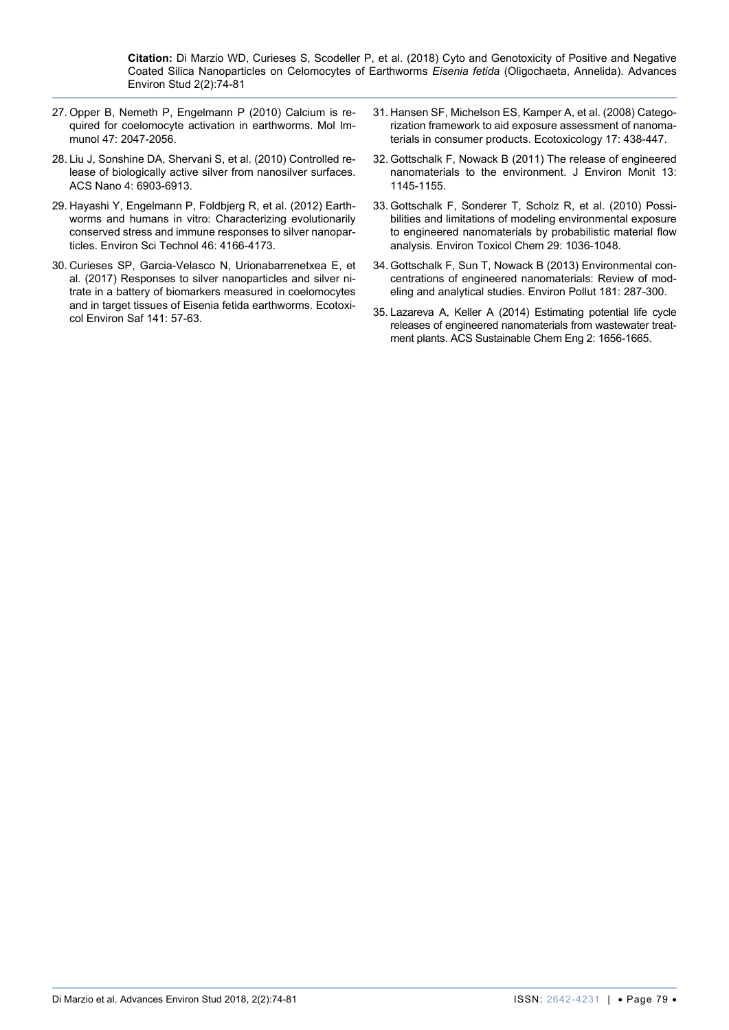- <span id="page-5-0"></span>27. [Opper B, Nemeth P, Engelmann P \(2010\) Calcium is re](https://www.ncbi.nlm.nih.gov/pubmed/20439116)[quired for coelomocyte activation in earthworms. Mol Im](https://www.ncbi.nlm.nih.gov/pubmed/20439116)[munol 47: 2047-2056.](https://www.ncbi.nlm.nih.gov/pubmed/20439116)
- <span id="page-5-1"></span>28. [Liu J, Sonshine DA, Shervani S, et al. \(2010\) Controlled re](https://www.ncbi.nlm.nih.gov/pubmed/20968290)[lease of biologically active silver from nanosilver surfaces.](https://www.ncbi.nlm.nih.gov/pubmed/20968290)  [ACS Nano 4: 6903-6913.](https://www.ncbi.nlm.nih.gov/pubmed/20968290)
- <span id="page-5-2"></span>29. [Hayashi Y, Engelmann P, Foldbjerg R, et al. \(2012\) Earth](https://www.ncbi.nlm.nih.gov/pubmed/22432789)[worms and humans in vitro: Characterizing evolutionarily](https://www.ncbi.nlm.nih.gov/pubmed/22432789)  [conserved stress and immune responses to silver nanopar](https://www.ncbi.nlm.nih.gov/pubmed/22432789)[ticles. Environ Sci Technol 46: 4166-4173.](https://www.ncbi.nlm.nih.gov/pubmed/22432789)
- <span id="page-5-3"></span>30. [Curieses SP, Garcia-Velasco N, Urionabarrenetxea E, et](https://www.ncbi.nlm.nih.gov/pubmed/28314142)  [al. \(2017\) Responses to silver nanoparticles and silver ni](https://www.ncbi.nlm.nih.gov/pubmed/28314142)[trate in a battery of biomarkers measured in coelomocytes](https://www.ncbi.nlm.nih.gov/pubmed/28314142)  [and in target tissues of Eisenia fetida earthworms. Ecotoxi](https://www.ncbi.nlm.nih.gov/pubmed/28314142)[col Environ Saf 141: 57-63.](https://www.ncbi.nlm.nih.gov/pubmed/28314142)
- <span id="page-5-4"></span>31. [Hansen SF, Michelson ES, Kamper A, et al. \(2008\) Catego](https://www.ncbi.nlm.nih.gov/pubmed/18454314)[rization framework to aid exposure assessment of nanoma](https://www.ncbi.nlm.nih.gov/pubmed/18454314)[terials in consumer products. Ecotoxicology 17: 438-447.](https://www.ncbi.nlm.nih.gov/pubmed/18454314)
- 32. [Gottschalk F, Nowack B \(2011\) The release of engineered](https://www.ncbi.nlm.nih.gov/pubmed/21387066)  [nanomaterials to the environment. J Environ Monit 13:](https://www.ncbi.nlm.nih.gov/pubmed/21387066)  [1145-1155.](https://www.ncbi.nlm.nih.gov/pubmed/21387066)
- 33. [Gottschalk F, Sonderer T, Scholz R, et al. \(2010\) Possi](https://www.ncbi.nlm.nih.gov/pubmed/20821538)[bilities and limitations of modeling environmental exposure](https://www.ncbi.nlm.nih.gov/pubmed/20821538)  [to engineered nanomaterials by probabilistic material flow](https://www.ncbi.nlm.nih.gov/pubmed/20821538)  [analysis. Environ Toxicol Chem 29: 1036-1048.](https://www.ncbi.nlm.nih.gov/pubmed/20821538)
- <span id="page-5-5"></span>34. [Gottschalk F, Sun T, Nowack B \(2013\) Environmental con](https://www.ncbi.nlm.nih.gov/pubmed/23856352)[centrations of engineered nanomaterials: Review of mod](https://www.ncbi.nlm.nih.gov/pubmed/23856352)[eling and analytical studies. Environ Pollut 181: 287-300.](https://www.ncbi.nlm.nih.gov/pubmed/23856352)
- <span id="page-5-6"></span>35. [Lazareva A, Keller A \(2014\) Estimating potential life cycle](https://pubs.acs.org/doi/abs/10.1021/sc500121w)  [releases of engineered nanomaterials from wastewater treat](https://pubs.acs.org/doi/abs/10.1021/sc500121w)[ment plants. ACS Sustainable Chem Eng 2: 1656-1665.](https://pubs.acs.org/doi/abs/10.1021/sc500121w)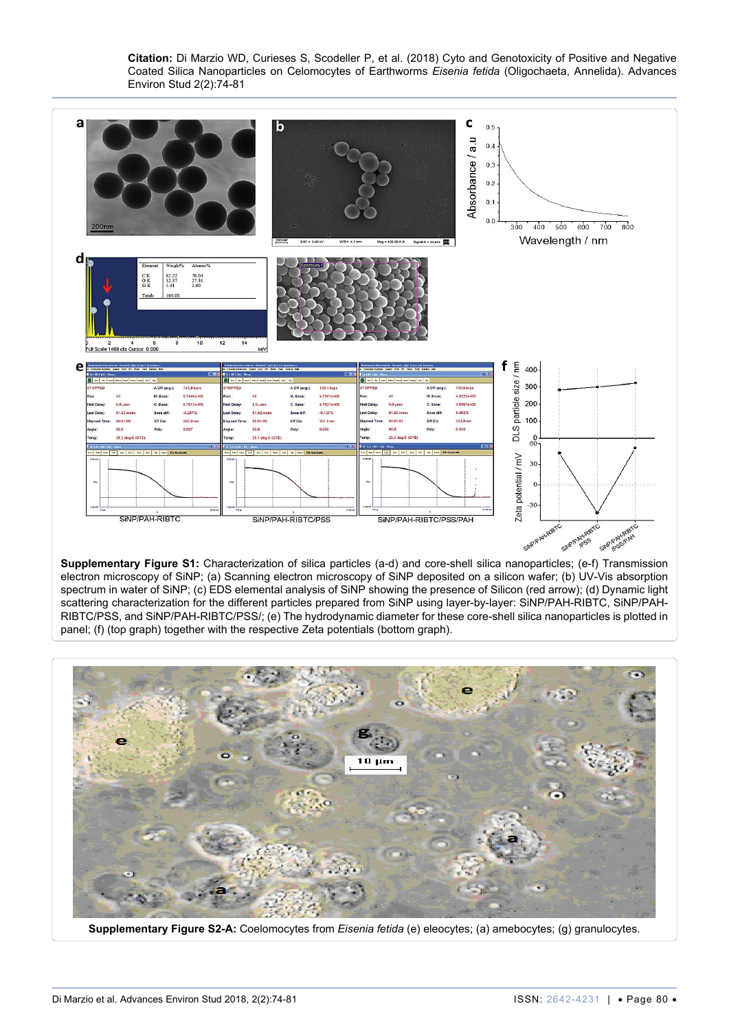<span id="page-6-0"></span>

electron microscopy of SiNP; (a) Scanning electron microscopy of SiNP deposited on a silicon wafer; (b) UV-Vis absorption spectrum in water of SiNP; (c) EDS elemental analysis of SiNP showing the presence of Silicon (red arrow); (d) Dynamic light scattering characterization for the different particles prepared from SiNP using layer-by-layer: SiNP/PAH-RIBTC, SiNP/PAH-RIBTC/PSS, and SiNP/PAH-RIBTC/PSS/; (e) The hydrodynamic diameter for these core-shell silica nanoparticles is plotted in panel; (f) (top graph) together with the respective Zeta potentials (bottom graph).



**Supplementary Figure S2-A:** Coelomocytes from *Eisenia fetida* (e) eleocytes; (a) amebocytes; (g) granulocytes.

<span id="page-6-1"></span>Ī